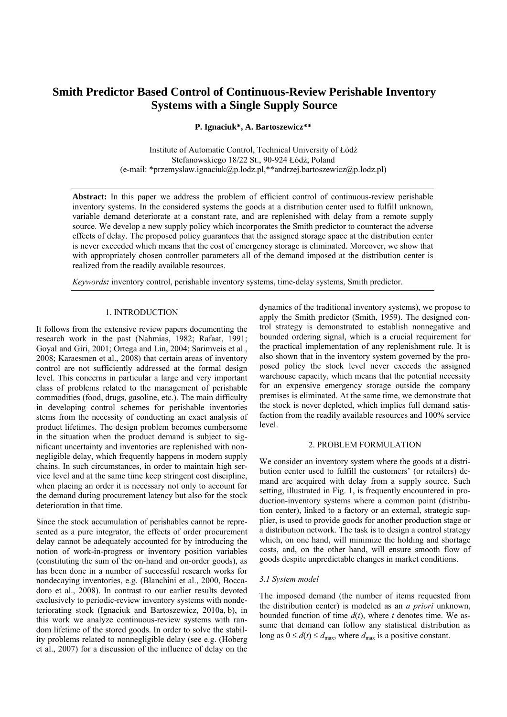# **Smith Predictor Based Control of Continuous-Review Perishable Inventory Systems with a Single Supply Source**

**P. Ignaciuk\*, A. Bartoszewicz\*\*** 

Institute of Automatic Control, Technical University of Łódź Stefanowskiego 18/22 St., 90-924 Łódź, Poland (e-mail: \*przemyslaw.ignaciuk@p.lodz.pl,\*\*andrzej.bartoszewicz@p.lodz.pl)

**Abstract:** In this paper we address the problem of efficient control of continuous-review perishable inventory systems. In the considered systems the goods at a distribution center used to fulfill unknown, variable demand deteriorate at a constant rate, and are replenished with delay from a remote supply source. We develop a new supply policy which incorporates the Smith predictor to counteract the adverse effects of delay. The proposed policy guarantees that the assigned storage space at the distribution center is never exceeded which means that the cost of emergency storage is eliminated. Moreover, we show that with appropriately chosen controller parameters all of the demand imposed at the distribution center is realized from the readily available resources.

*Keywords:* inventory control, perishable inventory systems, time-delay systems, Smith predictor.

# 1. INTRODUCTION

It follows from the extensive review papers documenting the research work in the past (Nahmias, 1982; Rafaat, 1991; Goyal and Giri, 2001; Ortega and Lin, 2004; Sarimveis et al., 2008; Karaesmen et al., 2008) that certain areas of inventory control are not sufficiently addressed at the formal design level. This concerns in particular a large and very important class of problems related to the management of perishable commodities (food, drugs, gasoline, etc.). The main difficulty in developing control schemes for perishable inventories stems from the necessity of conducting an exact analysis of product lifetimes. The design problem becomes cumbersome in the situation when the product demand is subject to significant uncertainty and inventories are replenished with nonnegligible delay, which frequently happens in modern supply chains. In such circumstances, in order to maintain high service level and at the same time keep stringent cost discipline, when placing an order it is necessary not only to account for the demand during procurement latency but also for the stock deterioration in that time.

Since the stock accumulation of perishables cannot be represented as a pure integrator, the effects of order procurement delay cannot be adequately accounted for by introducing the notion of work-in-progress or inventory position variables (constituting the sum of the on-hand and on-order goods), as has been done in a number of successful research works for nondecaying inventories, e.g. (Blanchini et al., 2000, Boccadoro et al., 2008). In contrast to our earlier results devoted exclusively to periodic-review inventory systems with nondeteriorating stock (Ignaciuk and Bartoszewicz, 2010a, b), in this work we analyze continuous-review systems with random lifetime of the stored goods. In order to solve the stability problems related to nonnegligible delay (see e.g. (Hoberg et al., 2007) for a discussion of the influence of delay on the

dynamics of the traditional inventory systems), we propose to apply the Smith predictor (Smith, 1959). The designed control strategy is demonstrated to establish nonnegative and bounded ordering signal, which is a crucial requirement for the practical implementation of any replenishment rule. It is also shown that in the inventory system governed by the proposed policy the stock level never exceeds the assigned warehouse capacity, which means that the potential necessity for an expensive emergency storage outside the company premises is eliminated. At the same time, we demonstrate that the stock is never depleted, which implies full demand satisfaction from the readily available resources and 100% service level.

## 2. PROBLEM FORMULATION

We consider an inventory system where the goods at a distribution center used to fulfill the customers' (or retailers) demand are acquired with delay from a supply source. Such setting, illustrated in Fig. 1, is frequently encountered in production-inventory systems where a common point (distribution center), linked to a factory or an external, strategic supplier, is used to provide goods for another production stage or a distribution network. The task is to design a control strategy which, on one hand, will minimize the holding and shortage costs, and, on the other hand, will ensure smooth flow of goods despite unpredictable changes in market conditions.

#### *3.1 System model*

The imposed demand (the number of items requested from the distribution center) is modeled as an *a priori* unknown, bounded function of time  $d(t)$ , where *t* denotes time. We assume that demand can follow any statistical distribution as long as  $0 \le d(t) \le d_{\text{max}}$ , where  $d_{\text{max}}$  is a positive constant.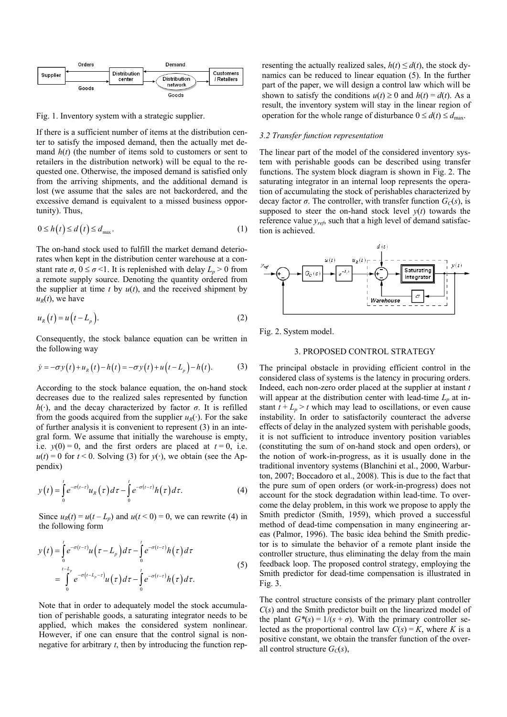

Fig. 1. Inventory system with a strategic supplier.

If there is a sufficient number of items at the distribution center to satisfy the imposed demand, then the actually met demand  $h(t)$  (the number of items sold to customers or sent to retailers in the distribution network) will be equal to the requested one. Otherwise, the imposed demand is satisfied only from the arriving shipments, and the additional demand is lost (we assume that the sales are not backordered, and the excessive demand is equivalent to a missed business opportunity). Thus,

$$
0 \le h(t) \le d(t) \le d_{\max}.\tag{1}
$$

The on-hand stock used to fulfill the market demand deteriorates when kept in the distribution center warehouse at a constant rate  $\sigma$ ,  $0 \le \sigma \le 1$ . It is replenished with delay  $L_p > 0$  from a remote supply source. Denoting the quantity ordered from the supplier at time  $t$  by  $u(t)$ , and the received shipment by  $u_R(t)$ , we have

$$
u_R(t) = u\left(t - L_p\right). \tag{2}
$$

Consequently, the stock balance equation can be written in the following way

$$
\dot{y} = -\sigma y(t) + u_R(t) - h(t) = -\sigma y(t) + u(t - L_p) - h(t).
$$
 (3)

According to the stock balance equation, the on-hand stock decreases due to the realized sales represented by function  $h(\cdot)$ , and the decay characterized by factor  $\sigma$ . It is refilled from the goods acquired from the supplier  $u_R(\cdot)$ . For the sake of further analysis it is convenient to represent (3) in an integral form. We assume that initially the warehouse is empty, i.e.  $y(0) = 0$ , and the first orders are placed at  $t = 0$ , i.e.  $u(t) = 0$  for  $t < 0$ . Solving (3) for  $y(\cdot)$ , we obtain (see the Appendix)

$$
y(t) = \int_{0}^{t} e^{-\sigma(t-\tau)} u_R(\tau) d\tau - \int_{0}^{t} e^{-\sigma(t-\tau)} h(\tau) d\tau.
$$
 (4)

Since  $u_R(t) = u(t - L_p)$  and  $u(t < 0) = 0$ , we can rewrite (4) in the following form

$$
y(t) = \int_{0}^{t} e^{-\sigma(t-\tau)} u(\tau - L_{p}) d\tau - \int_{0}^{t} e^{-\sigma(t-\tau)} h(\tau) d\tau
$$
  

$$
= \int_{0}^{t-L_{p}} e^{-\sigma(t-L_{p}-\tau)} u(\tau) d\tau - \int_{0}^{t} e^{-\sigma(t-\tau)} h(\tau) d\tau.
$$
 (5)

Note that in order to adequately model the stock accumulation of perishable goods, a saturating integrator needs to be applied, which makes the considered system nonlinear. However, if one can ensure that the control signal is nonnegative for arbitrary *t*, then by introducing the function representing the actually realized sales,  $h(t) \leq d(t)$ , the stock dynamics can be reduced to linear equation (5). In the further part of the paper, we will design a control law which will be shown to satisfy the conditions  $u(t) \ge 0$  and  $h(t) = d(t)$ . As a result, the inventory system will stay in the linear region of operation for the whole range of disturbance  $0 \le d(t) \le d_{\text{max}}$ .

#### *3.2 Transfer function representation*

The linear part of the model of the considered inventory system with perishable goods can be described using transfer functions. The system block diagram is shown in Fig. 2. The saturating integrator in an internal loop represents the operation of accumulating the stock of perishables characterized by decay factor  $\sigma$ . The controller, with transfer function  $G_C(s)$ , is supposed to steer the on-hand stock level  $y(t)$  towards the reference value *yref*, such that a high level of demand satisfaction is achieved.



Fig. 2. System model.

# 3. PROPOSED CONTROL STRATEGY

The principal obstacle in providing efficient control in the considered class of systems is the latency in procuring orders. Indeed, each non-zero order placed at the supplier at instant *t* will appear at the distribution center with lead-time  $L_p$  at instant  $t + L_p > t$  which may lead to oscillations, or even cause instability. In order to satisfactorily counteract the adverse effects of delay in the analyzed system with perishable goods, it is not sufficient to introduce inventory position variables (constituting the sum of on-hand stock and open orders), or the notion of work-in-progress, as it is usually done in the traditional inventory systems (Blanchini et al., 2000, Warburton, 2007; Boccadoro et al., 2008). This is due to the fact that the pure sum of open orders (or work-in-progress) does not account for the stock degradation within lead-time. To overcome the delay problem, in this work we propose to apply the Smith predictor (Smith, 1959), which proved a successful method of dead-time compensation in many engineering areas (Palmor, 1996). The basic idea behind the Smith predictor is to simulate the behavior of a remote plant inside the controller structure, thus eliminating the delay from the main feedback loop. The proposed control strategy, employing the Smith predictor for dead-time compensation is illustrated in Fig. 3.

The control structure consists of the primary plant controller *C*(*s*) and the Smith predictor built on the linearized model of the plant  $G^*(s) = 1/(s + \sigma)$ . With the primary controller selected as the proportional control law  $C(s) = K$ , where *K* is a positive constant, we obtain the transfer function of the overall control structure  $G_C(s)$ ,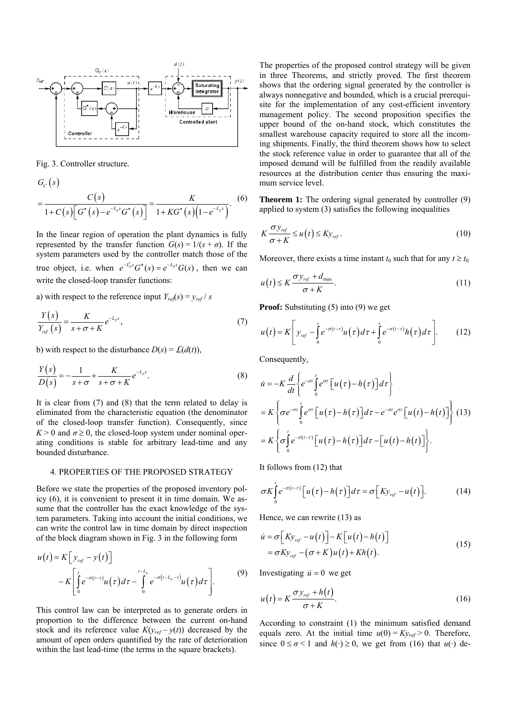

Fig. 3. Controller structure.

$$
G_C(s)
$$
  
= 
$$
\frac{C(s)}{1+C(s)\Big[G^*(s)-e^{-L_p s}G^*(s)\Big]} = \frac{K}{1+KG^*(s)\Big(1-e^{-L_p s}\Big)}.
$$
 (6)

In the linear region of operation the plant dynamics is fully represented by the transfer function  $G(s) = 1/(s + \sigma)$ . If the system parameters used by the controller match those of the true object, i.e. when  $e^{-L_p^*s}G^*(s) = e^{-L_p s}G(s)$ , then we can write the closed-loop transfer functions:

a) with respect to the reference input  $Y_{ref}(s) = y_{ref}/s$ 

$$
\frac{Y(s)}{Y_{ref}(s)} = \frac{K}{s + \sigma + K} e^{-L_p s},\tag{7}
$$

b) with respect to the disturbance  $D(s) = \mathcal{L}(d(t))$ ,

$$
\frac{Y(s)}{D(s)} = -\frac{1}{s+\sigma} + \frac{K}{s+\sigma+K}e^{-L_ps}.
$$
\n(8)

It is clear from (7) and (8) that the term related to delay is eliminated from the characteristic equation (the denominator of the closed-loop transfer function). Consequently, since  $K > 0$  and  $\sigma \ge 0$ , the closed-loop system under nominal operating conditions is stable for arbitrary lead-time and any bounded disturbance.

#### 4. PROPERTIES OF THE PROPOSED STRATEGY

Before we state the properties of the proposed inventory policy (6), it is convenient to present it in time domain. We assume that the controller has the exact knowledge of the system parameters. Taking into account the initial conditions, we can write the control law in time domain by direct inspection of the block diagram shown in Fig. 3 in the following form

$$
u(t) = K \left[ y_{ref} - y(t) \right]
$$
  
-K \left[ \int\_{0}^{t} e^{-\sigma(t-\tau)} u(\tau) d\tau - \int\_{0}^{t-L\_p} e^{-\sigma(t-L\_p-\tau)} u(\tau) d\tau \right]. \tag{9}

This control law can be interpreted as to generate orders in proportion to the difference between the current on-hand stock and its reference value  $K(y_{ref} - y(t))$  decreased by the amount of open orders quantified by the rate of deterioration within the last lead-time (the terms in the square brackets).

The properties of the proposed control strategy will be given in three Theorems, and strictly proved. The first theorem shows that the ordering signal generated by the controller is always nonnegative and bounded, which is a crucial prerequisite for the implementation of any cost-efficient inventory management policy. The second proposition specifies the upper bound of the on-hand stock, which constitutes the smallest warehouse capacity required to store all the incoming shipments. Finally, the third theorem shows how to select the stock reference value in order to guarantee that all of the imposed demand will be fulfilled from the readily available resources at the distribution center thus ensuring the maximum service level.

**Theorem 1:** The ordering signal generated by controller (9) applied to system (3) satisfies the following inequalities

$$
K\frac{\sigma y_{ref}}{\sigma + K} \le u\left(t\right) \le Ky_{ref}.\tag{10}
$$

Moreover, there exists a time instant  $t_0$  such that for any  $t \geq t_0$ 

$$
u(t) \le K \frac{\sigma y_{ref} + d_{\text{max}}}{\sigma + K}.
$$
\n(11)

**Proof:** Substituting (5) into (9) we get

$$
u(t) = K \left[ y_{ref} - \int_{0}^{t} e^{-\sigma(t-\tau)} u(\tau) d\tau + \int_{0}^{t} e^{-\sigma(t-\tau)} h(\tau) d\tau \right].
$$
 (12)

Consequently,

$$
\begin{split} \dot{u} &= -K \frac{d}{dt} \left\{ e^{-\sigma t} \int_{0}^{t} e^{\sigma \tau} \left[ u(\tau) - h(\tau) \right] d\tau \right\} \\ &= K \left\{ \sigma e^{-\sigma t} \int_{0}^{t} e^{\sigma \tau} \left[ u(\tau) - h(\tau) \right] d\tau - e^{-\sigma t} e^{\sigma t} \left[ u(t) - h(t) \right] \right\} \end{split} \tag{13}
$$
\n
$$
= K \left\{ \sigma \int_{0}^{t} e^{-\sigma (t-\tau)} \left[ u(\tau) - h(\tau) \right] d\tau - \left[ u(t) - h(t) \right] \right\}.
$$

It follows from (12) that

$$
\sigma K \int_{0}^{t} e^{-\sigma(t-\tau)} \Big[ u(\tau) - h(\tau) \Big] d\tau = \sigma \Big[ K y_{ref} - u(t) \Big]. \tag{14}
$$

Hence, we can rewrite (13) as

$$
\dot{u} = \sigma \left[ Ky_{ref} - u(t) \right] - K \left[ u(t) - h(t) \right] \n= \sigma Ky_{ref} - (\sigma + K)u(t) + Kh(t).
$$
\n(15)

Investigating  $\dot{u} = 0$  we get

$$
u(t) = K \frac{\sigma y_{ref} + h(t)}{\sigma + K}.
$$
 (16)

According to constraint (1) the minimum satisfied demand equals zero. At the initial time  $u(0) = Ky_{ref} > 0$ . Therefore, since  $0 \le \sigma < 1$  and  $h(\cdot) \ge 0$ , we get from (16) that  $u(\cdot)$  de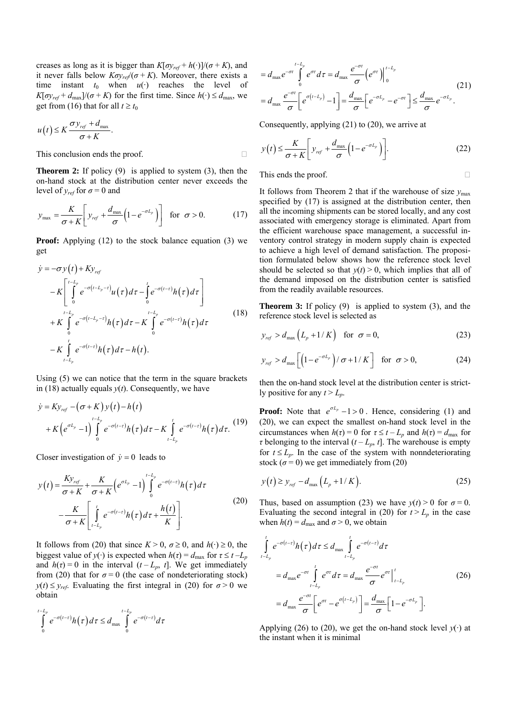creases as long as it is bigger than  $K[\sigma y_{ref} + h(\cdot)]/(\sigma + K)$ , and it never falls below  $K \sigma y_{ref} / (\sigma + K)$ . Moreover, there exists a time instant  $t_0$  when  $u(\cdot)$  reaches the level of  $K[\sigma y_{ref} + d_{\text{max}}]/(\sigma + K)$  for the first time. Since  $h(\cdot) \leq d_{\text{max}}$ , we get from (16) that for all  $t \ge t_0$ 

$$
u(t) \leq K \frac{\sigma y_{ref} + d_{\max}}{\sigma + K}.
$$

This conclusion ends the proof.

**Theorem 2:** If policy (9) is applied to system (3), then the on-hand stock at the distribution center never exceeds the level of  $y_{ref}$  for  $\sigma = 0$  and

$$
y_{\text{max}} = \frac{K}{\sigma + K} \left[ y_{\text{ref}} + \frac{d_{\text{max}}}{\sigma} \left( 1 - e^{-\sigma L_p} \right) \right] \quad \text{for } \sigma > 0. \tag{17}
$$

**Proof:** Applying (12) to the stock balance equation (3) we get

$$
\dot{y} = -\sigma y(t) + Ky_{ref}
$$
\n
$$
-K \left[ \int_{0}^{t-L_p} e^{-\sigma(t-L_p-\tau)} u(\tau) d\tau - \int_{0}^{t} e^{-\sigma(t-\tau)} h(\tau) d\tau \right]
$$
\n
$$
+ K \int_{0}^{t-L_p} e^{-\sigma(t-L_p-\tau)} h(\tau) d\tau - K \int_{0}^{t-L_p} e^{-\sigma(t-\tau)} h(\tau) d\tau
$$
\n
$$
- K \int_{t-L_p}^{t} e^{-\sigma(t-\tau)} h(\tau) d\tau - h(t).
$$
\n(18)

Using (5) we can notice that the term in the square brackets in (18) actually equals *y*(*t*). Consequently, we have

$$
\dot{y} = Ky_{ref} - (\sigma + K) y(t) - h(t)
$$
  
+  $K\left(e^{\sigma L_p} - 1\right) \int_{0}^{t - L_p} e^{-\sigma(t - \tau)} h(\tau) d\tau - K \int_{t - L_p}^{t} e^{-\sigma(t - \tau)} h(\tau) d\tau.$  (19)

Closer investigation of  $\dot{y} = 0$  leads to

$$
y(t) = \frac{K y_{ref}}{\sigma + K} + \frac{K}{\sigma + K} \left( e^{\sigma L_p} - 1 \right) \int_0^{t - L_p} e^{-\sigma(t - \tau)} h(\tau) d\tau
$$
  

$$
- \frac{K}{\sigma + K} \left[ \int_{t - L_p}^t e^{-\sigma(t - \tau)} h(\tau) d\tau + \frac{h(t)}{K} \right].
$$
 (20)

It follows from (20) that since  $K > 0$ ,  $\sigma \ge 0$ , and  $h(\cdot) \ge 0$ , the biggest value of *y*(·) is expected when  $h(\tau) = d_{\text{max}}$  for  $\tau \le t - L_p$ and  $h(\tau) = 0$  in the interval  $(t - L_p, t]$ . We get immediately from (20) that for  $\sigma = 0$  (the case of nondeteriorating stock)  $y(t) \leq y_{ref}$ . Evaluating the first integral in (20) for  $\sigma > 0$  we obtain

$$
\int_{0}^{t-L_p} e^{-\sigma(t-\tau)} h(\tau) d\tau \leq d_{\max} \int_{0}^{t-L_p} e^{-\sigma(t-\tau)} d\tau
$$

$$
=d_{\max}e^{-\sigma t}\int_{0}^{t-L_{p}}e^{\sigma\tau}d\tau=d_{\max}\frac{e^{-\sigma t}}{\sigma}\Big(e^{\sigma\tau}\Big)\Big|_{0}^{t-L_{p}}
$$
\n
$$
=d_{\max}\frac{e^{-\sigma t}}{\sigma}\Big[e^{\sigma\left(t-L_{p}\right)}-1\Big]=\frac{d_{\max}}{\sigma}\Big[e^{-\sigma L_{p}}-e^{-\sigma t}\Big]\leq\frac{d_{\max}}{\sigma}e^{-\sigma L_{p}}.
$$
\n(21)

Consequently, applying (21) to (20), we arrive at

$$
y(t) \le \frac{K}{\sigma + K} \left[ y_{ref} + \frac{d_{\text{max}}}{\sigma} \left( 1 - e^{-\sigma L_p} \right) \right].
$$
 (22)

This ends the proof.

It follows from Theorem 2 that if the warehouse of size  $y_{\text{max}}$ specified by  $(17)$  is assigned at the distribution center, then all the incoming shipments can be stored locally, and any cost associated with emergency storage is eliminated. Apart from the efficient warehouse space management, a successful inventory control strategy in modern supply chain is expected to achieve a high level of demand satisfaction. The proposition formulated below shows how the reference stock level should be selected so that  $v(t) > 0$ , which implies that all of the demand imposed on the distribution center is satisfied from the readily available resources.

**Theorem 3:** If policy (9) is applied to system (3), and the reference stock level is selected as

$$
y_{ref} > d_{\text{max}}\left(L_p + 1/K\right) \quad \text{for} \quad \sigma = 0,\tag{23}
$$

$$
y_{ref} > d_{\max} \left[ \left( 1 - e^{-\sigma L_p} \right) / \sigma + 1 / K \right] \quad \text{for } \sigma > 0,
$$
 (24)

then the on-hand stock level at the distribution center is strictly positive for any  $t > L_n$ .

**Proof:** Note that  $e^{\sigma L_p} - 1 > 0$ . Hence, considering (1) and (20), we can expect the smallest on-hand stock level in the circumstances when  $h(\tau) = 0$  for  $\tau \le t - L_p$  and  $h(\tau) = d_{\text{max}}$  for *τ* belonging to the interval  $(t - L_p, t]$ . The warehouse is empty for  $t \leq L_n$ . In the case of the system with nonndeteriorating stock  $(\sigma = 0)$  we get immediately from (20)

$$
y(t) \ge y_{ref} - d_{max} (L_p + 1/K).
$$
 (25)

Thus, based on assumption (23) we have  $y(t) > 0$  for  $\sigma = 0$ . Evaluating the second integral in (20) for  $t > L_p$  in the case when  $h(t) = d_{\text{max}}$  and  $\sigma > 0$ , we obtain

$$
\int_{t-L_p}^{t} e^{-\sigma(t-\tau)} h(\tau) d\tau \leq d_{\max} \int_{t-L_p}^{t} e^{-\sigma(t-\tau)} d\tau
$$
\n
$$
= d_{\max} e^{-\sigma t} \int_{t-L_p}^{t} e^{\sigma \tau} d\tau = d_{\max} \frac{e^{-\sigma t}}{\sigma} e^{\sigma \tau} \Big|_{t-L_p}^{t}
$$
\n
$$
= d_{\max} \frac{e^{-\sigma t}}{\sigma} \Big[ e^{\sigma t} - e^{\sigma(t-L_p)} \Big] = \frac{d_{\max}}{\sigma} \Big[ 1 - e^{-\sigma L_p} \Big].
$$
\n(26)

Applying (26) to (20), we get the on-hand stock level  $y(\cdot)$  at the instant when it is minimal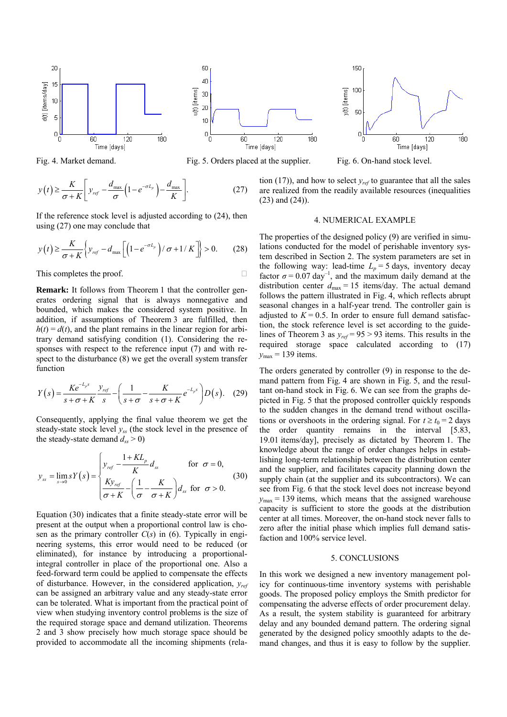



If the reference stock level is adjusted according to (24), then using (27) one may conclude that

$$
y(t) \ge \frac{K}{\sigma + K} \left\{ y_{ref} - d_{\max} \left[ \left( 1 - e^{-\sigma L_p} \right) / \sigma + 1 / K \right] \right\} > 0. \tag{28}
$$

This completes the proof.

**Remark:** It follows from Theorem 1 that the controller generates ordering signal that is always nonnegative and bounded, which makes the considered system positive. In addition, if assumptions of Theorem 3 are fulfilled, then  $h(t) = d(t)$ , and the plant remains in the linear region for arbitrary demand satisfying condition (1). Considering the responses with respect to the reference input (7) and with respect to the disturbance (8) we get the overall system transfer function

$$
Y(s) = \frac{Ke^{-L_ps}}{s+\sigma+K} \frac{y_{ref}}{s} - \left(\frac{1}{s+\sigma} - \frac{K}{s+\sigma+K}e^{-L_ps}\right)D(s). \quad (29)
$$

Consequently, applying the final value theorem we get the steady-state stock level *yss* (the stock level in the presence of the steady-state demand  $d_{ss} > 0$ )

$$
y_{ss} = \lim_{s \to 0} sY(s) = \begin{cases} y_{ref} - \frac{1 + KL_p}{K} d_{ss} & \text{for } \sigma = 0, \\ \frac{K y_{ref}}{\sigma + K} - \left(\frac{1}{\sigma} - \frac{K}{\sigma + K}\right) d_{ss} & \text{for } \sigma > 0. \end{cases}
$$
(30)

Equation (30) indicates that a finite steady-state error will be present at the output when a proportional control law is chosen as the primary controller *C*(*s*) in (6). Typically in engineering systems, this error would need to be reduced (or eliminated), for instance by introducing a proportionalintegral controller in place of the proportional one. Also a feed-forward term could be applied to compensate the effects of disturbance. However, in the considered application, *yref* can be assigned an arbitrary value and any steady-state error can be tolerated. What is important from the practical point of view when studying inventory control problems is the size of the required storage space and demand utilization. Theorems 2 and 3 show precisely how much storage space should be provided to accommodate all the incoming shipments (rela-

Fig. 4. Market demand. Fig. 5. Orders placed at the supplier. Fig. 6. On-hand stock level.

180

tion  $(17)$ ), and how to select  $y_{ref}$  to guarantee that all the sales are realized from the readily available resources (inequalities (23) and (24)).

## 4. NUMERICAL EXAMPLE

The properties of the designed policy (9) are verified in simulations conducted for the model of perishable inventory system described in Section 2. The system parameters are set in the following way: lead-time  $L_p = 5$  days, inventory decay factor  $\sigma = 0.07 \text{ day}^{-1}$ , and the maximum daily demand at the distribution center  $d_{\text{max}} = 15$  items/day. The actual demand follows the pattern illustrated in Fig. 4, which reflects abrupt seasonal changes in a half-year trend. The controller gain is adjusted to  $K = 0.5$ . In order to ensure full demand satisfaction, the stock reference level is set according to the guidelines of Theorem 3 as  $y_{ref}$  = 95 > 93 items. This results in the required storage space calculated according to (17)  $y_{\text{max}}$  = 139 items.

The orders generated by controller (9) in response to the demand pattern from Fig. 4 are shown in Fig. 5, and the resultant on-hand stock in Fig. 6. We can see from the graphs depicted in Fig. 5 that the proposed controller quickly responds to the sudden changes in the demand trend without oscillations or overshoots in the ordering signal. For  $t \ge t_0 = 2$  days the order quantity remains in the interval [5.83, 19.01 items/day], precisely as dictated by Theorem 1. The knowledge about the range of order changes helps in establishing long-term relationship between the distribution center and the supplier, and facilitates capacity planning down the supply chain (at the supplier and its subcontractors). We can see from Fig. 6 that the stock level does not increase beyond  $y_{\text{max}}$  = 139 items, which means that the assigned warehouse capacity is sufficient to store the goods at the distribution center at all times. Moreover, the on-hand stock never falls to zero after the initial phase which implies full demand satisfaction and 100% service level.

#### 5. CONCLUSIONS

In this work we designed a new inventory management policy for continuous-time inventory systems with perishable goods. The proposed policy employs the Smith predictor for compensating the adverse effects of order procurement delay. As a result, the system stability is guaranteed for arbitrary delay and any bounded demand pattern. The ordering signal generated by the designed policy smoothly adapts to the demand changes, and thus it is easy to follow by the supplier.



150



50